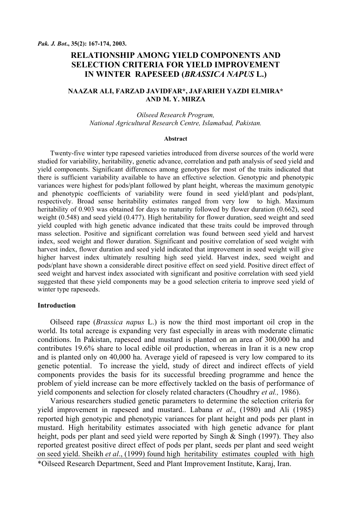# **RELATIONSHIP AMONG YIELD COMPONENTS AND SELECTION CRITERIA FOR YIELD IMPROVEMENT IN WINTER RAPESEED (***BRASSICA NAPUS* **L.)**

### **NAAZAR ALI, FARZAD JAVIDFAR\*, JAFARIEH YAZDI ELMIRA\* AND M. Y. MIRZA**

*Oilseed Research Program, National Agricultural Research Centre, Islamabad, Pakistan.* 

#### **Abstract**

Twenty-five winter type rapeseed varieties introduced from diverse sources of the world were studied for variability, heritability, genetic advance, correlation and path analysis of seed yield and yield components. Significant differences among genotypes for most of the traits indicated that there is sufficient variability available to have an effective selection. Genotypic and phenotypic variances were highest for pods/plant followed by plant height, whereas the maximum genotypic and phenotypic coefficients of variability were found in seed yield/plant and pods/plant, respectively. Broad sense heritability estimates ranged from very low to high. Maximum heritability of 0.903 was obtained for days to maturity followed by flower duration (0.662), seed weight (0.548) and seed yield (0.477). High heritability for flower duration, seed weight and seed yield coupled with high genetic advance indicated that these traits could be improved through mass selection. Positive and significant correlation was found between seed yield and harvest index, seed weight and flower duration. Significant and positive correlation of seed weight with harvest index, flower duration and seed yield indicated that improvement in seed weight will give higher harvest index ultimately resulting high seed yield. Harvest index, seed weight and pods/plant have shown a considerable direct positive effect on seed yield. Positive direct effect of seed weight and harvest index associated with significant and positive correlation with seed yield suggested that these yield components may be a good selection criteria to improve seed yield of winter type rapeseeds.

## **Introduction**

Oilseed rape (*Brassica napus* L.) is now the third most important oil crop in the world. Its total acreage is expanding very fast especially in areas with moderate climatic conditions. In Pakistan, rapeseed and mustard is planted on an area of 300,000 ha and contributes 19.6% share to local edible oil production, whereas in Iran it is a new crop and is planted only on 40,000 ha. Average yield of rapeseed is very low compared to its genetic potential. To increase the yield, study of direct and indirect effects of yield components provides the basis for its successful breeding programme and hence the problem of yield increase can be more effectively tackled on the basis of performance of yield components and selection for closely related characters (Choudhry *et al.,* 1986).

Various researchers studied genetic parameters to determine the selection criteria for yield improvement in rapeseed and mustard.. Labana *et al*., (1980) and Ali (1985) reported high genotypic and phenotypic variances for plant height and pods per plant in mustard. High heritability estimates associated with high genetic advance for plant height, pods per plant and seed yield were reported by Singh  $&$  Singh (1997). They also reported greatest positive direct effect of pods per plant, seeds per plant and seed weight on seed yield. Sheikh *et al*., (1999) found high heritability estimates coupled with high \*Oilseed Research Department, Seed and Plant Improvement Institute, Karaj, Iran.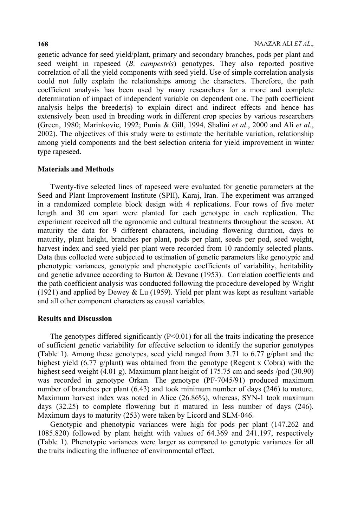genetic advance for seed yield/plant, primary and secondary branches, pods per plant and seed weight in rapeseed (*B. campestris*) genotypes. They also reported positive correlation of all the yield components with seed yield. Use of simple correlation analysis could not fully explain the relationships among the characters. Therefore, the path coefficient analysis has been used by many researchers for a more and complete determination of impact of independent variable on dependent one. The path coefficient analysis helps the breeder(s) to explain direct and indirect effects and hence has extensively been used in breeding work in different crop species by various researchers (Green, 1980; Marinkovic, 1992; Punia & Gill, 1994, Shalini *et al*., 2000 and Ali *et al.*, 2002). The objectives of this study were to estimate the heritable variation, relationship among yield components and the best selection criteria for yield improvement in winter type rapeseed.

#### **Materials and Methods**

Twenty-five selected lines of rapeseed were evaluated for genetic parameters at the Seed and Plant Improvement Institute (SPII), Karaj, Iran. The experiment was arranged in a randomized complete block design with 4 replications. Four rows of five meter length and 30 cm apart were planted for each genotype in each replication. The experiment received all the agronomic and cultural treatments throughout the season. At maturity the data for 9 different characters, including flowering duration, days to maturity, plant height, branches per plant, pods per plant, seeds per pod, seed weight, harvest index and seed yield per plant were recorded from 10 randomly selected plants. Data thus collected were subjected to estimation of genetic parameters like genotypic and phenotypic variances, genotypic and phenotypic coefficients of variability, heritability and genetic advance according to Burton & Devane (1953). Correlation coefficients and the path coefficient analysis was conducted following the procedure developed by Wright (1921) and applied by Dewey & Lu (1959). Yield per plant was kept as resultant variable and all other component characters as causal variables.

## **Results and Discussion**

The genotypes differed significantly  $(P<0.01)$  for all the traits indicating the presence of sufficient genetic variability for effective selection to identify the superior genotypes (Table 1). Among these genotypes, seed yield ranged from 3.71 to 6.77 g/plant and the highest yield  $(6.77 \text{ g/plant})$  was obtained from the genotype (Regent x Cobra) with the highest seed weight (4.01 g). Maximum plant height of 175.75 cm and seeds /pod (30.90) was recorded in genotype Orkan. The genotype (PF-7045/91) produced maximum number of branches per plant (6.43) and took minimum number of days (246) to mature. Maximum harvest index was noted in Alice (26.86%), whereas, SYN-1 took maximum days (32.25) to complete flowering but it matured in less number of days (246). Maximum days to maturity (253) were taken by Licord and SLM-046.

Genotypic and phenotypic variances were high for pods per plant (147.262 and 1085.820) followed by plant height with values of 64.369 and 241.197, respectively (Table 1). Phenotypic variances were larger as compared to genotypic variances for all the traits indicating the influence of environmental effect.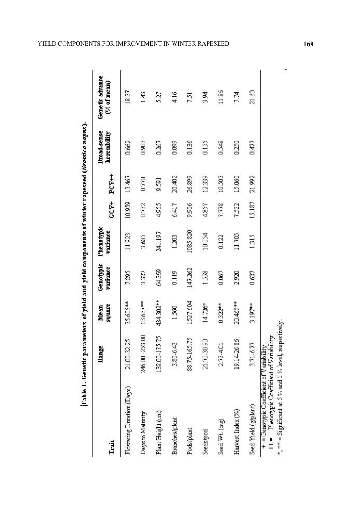| Trait                                                                                      | Range           | square<br>Mean | Genotypic<br>variance | Phenotypic<br>variance | $GCV+$ | PCV++  | Broad-sense<br>heretability | Genetic advance<br>$(% \mathcal{L}_{0})$ of mean) |
|--------------------------------------------------------------------------------------------|-----------------|----------------|-----------------------|------------------------|--------|--------|-----------------------------|---------------------------------------------------|
| Flowering Duration (Days)                                                                  | 21.00-32.25     | 35.606**       | 7.895                 | 11.923                 | 10.959 | 13.467 | 0.662                       | 18.37                                             |
| Days to Maturity                                                                           | 246.00 - 253.00 | 13.667**       | 3.327                 | 3.685                  | 0.732  | 0.770  | 0.903                       | 1.43                                              |
| Plant Height (cm)                                                                          | 138.00-175.75   | 434.302**      | 64.369                | 241.197                | 4.955  | 9.591  | 0.267                       | 5.27                                              |
| <b>Branches/plant</b>                                                                      | 3.80-6.43       | 1.560          | 0.119                 | 1.203                  | 6.417  | 20.402 | 0.099                       | 4,16                                              |
| Pods/plant                                                                                 | 88.75-165.75    | 1527.604       | 147.262               | 1085.820               | 9.906  | 26.899 | 0.136                       | 7.51                                              |
| Seeds/pod                                                                                  | 21.70-30.90     | 14.726*        | 1.558                 | 10.054                 | 4.857  | 12.339 | 0.155                       | 3.94                                              |
| Seed Wt. (mg)                                                                              | 2.73-4.01       | $0.322***$     | 0.067                 | 0.122                  | 7.778  | 10.503 | 0.548                       | 11.86                                             |
| Harvest Index (%)                                                                          | 19.14-26.86     | 20.465***      | 2.920                 | 11.705                 | 7.522  | 15.060 | 0.250                       | 7.74                                              |
| Seed Yield (g/plant)                                                                       | 3.71-6.77       | 3.197**        | 0.627                 | 1.315                  | 15.187 | 21.992 | 0.477                       | 21.60                                             |
| + = Genotypic Coefficient of V ariability.<br>++ = Phenotypic Coefficient of V ariability. |                 |                |                       |                        |        |        |                             |                                                   |

÷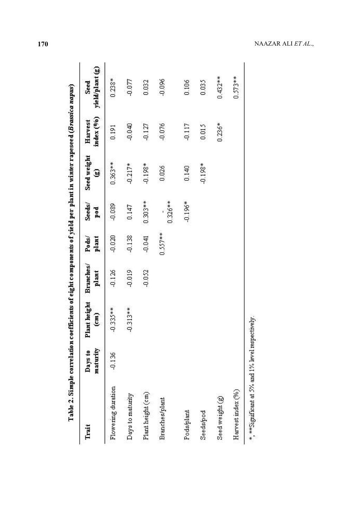| Trait                                    | maturity<br>Days to | Plant height<br>$\epsilon$ m) | Branches/<br>plant | $P \cdot ds/$<br>plant | $See$ ds/<br>$_{\text{pod}}$ | Seed weight<br>ø | index (%)<br>Harvest | yield/plant (g)<br>Seed |
|------------------------------------------|---------------------|-------------------------------|--------------------|------------------------|------------------------------|------------------|----------------------|-------------------------|
| Flowering duration                       | $-0.136$            | $-0.335**$                    | $-0.126$           | $-0.020$               | $-0.089$                     | 0.363**          | 0.191                | $0.238*$                |
| Days to maturity                         |                     | $-0.313**$                    | $-0.019$           | $-0.138$               | 0.147                        | $-0.217*$        | $-0.040$             | $-0.077$                |
| Plant height $\left( \mathtt{cm}\right)$ |                     |                               | $-0.052$           | $-0.041$               | $0.303**$                    | $-0.198*$        | $-0.127$             | 0.032                   |
| Branches/plant                           |                     |                               |                    | $0.557***$             | $0.326***$                   | 0.026            | $-0.076$             | $-0.096$                |
| Pods/plant                               |                     |                               |                    |                        | $-0.196*$                    | 0.140            | $-0.117$             | 0.106                   |
| Seeds/pod                                |                     |                               |                    |                        |                              | $-0.198*$        | 0.015                | 0.035                   |
| Seed weight (g)                          |                     |                               |                    |                        |                              |                  | $0.236*$             | $0.432***$              |
| Harvest index (%)                        |                     |                               |                    |                        |                              |                  |                      | $0.573**$               |

Table 2. Simple correlation coefficients of eight components of vield per plant in winter rapesee d (Brassica napus)

**170** NAAZAR ALI *ET AL*.,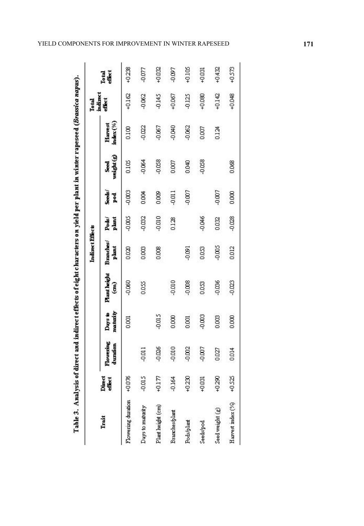|                                      | l<br><b>Lotal</b> |
|--------------------------------------|-------------------|
| Ξ<br>ļ<br>$\overline{1}$<br>៓<br>، ۽ |                   |
|                                      |                   |

|                    |                  |                       |                     |                             | Indirect Effects   |                |                      |                     |                     | Total              |                 |
|--------------------|------------------|-----------------------|---------------------|-----------------------------|--------------------|----------------|----------------------|---------------------|---------------------|--------------------|-----------------|
| Trait              | Direct<br>effect | Flowering<br>duration | maturity<br>Days to | <b>Plant</b> height<br>(an) | Branches/<br>plant | plant<br>Pods/ | Seeds)<br><b>Pod</b> | weight (g)<br>Seed. | index(%)<br>Harvest | indirect<br>effect | Total<br>effect |
| Flowering duration | 400%             |                       | 0.001               | $-0.060$                    | 880                | -0.005         | $-0.003$             | 0.105               | 0.100               | $+0.162$           | $+0.238$        |
| Days to maturity   | -0.015           | $-0.011$              |                     | 0.055                       | 0.003              | $-0.032$       | 0.004                | $-0.064$            | $-0.022$            | $-0.062$           | $-0.077$        |
| Plant height (cm)  | $+0.177$         | -0.026                | $-0.015$            |                             | 0.008              | $-0.010$       | 0.009                | $-0.058$            | $-0.067$            | -0.145             | +0.032          |
| Branchesplant      | $-0.164$         | -0.010                | 0.000               | -0.010                      |                    | 0.128          | $-0.011$             | 0.007               | -0.040              | $+0.067$           | -0.097          |
| Pods/plant         | $+0.230$         | -0.002                | 0.001               | -0.008                      | $-0.091$           |                | $-0.007$             | 0.040               | $-0.062$            | $-0.125$           | $+0.105$        |
| Seeds/pod          | $+0.031$         | -0.007                | $-0.0003$           | 0.033                       | 0.033              | $-0.046$       |                      | $-0.058$            | 0.007               | $+0.080$           | $+0.031$        |
| Seed weight (g)    | $+0.290$         | 0.027                 | 0.003               | $-0.036$                    | $-0.005$           | 0.032          | -0.007               |                     | 0.124               | $+0.142$           | +0,432          |
| Harvest index (%)  | $+0.525$         | 0.014                 | 0.000               | $-0.023$                    | 0.012              | $-0.028$       | 0.000                | 0.068               |                     | $+0.048$           | $+0.573$        |

# YIELD COMPONENTS FOR IMPROVEMENT IN WINTER RAPESEED **171**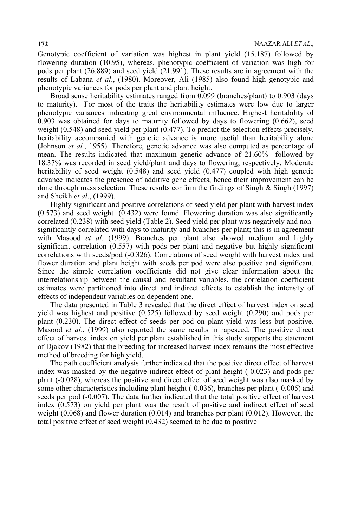Genotypic coefficient of variation was highest in plant yield (15.187) followed by flowering duration (10.95), whereas, phenotypic coefficient of variation was high for pods per plant (26.889) and seed yield (21.991). These results are in agreement with the results of Labana *et al*., (1980). Moreover, Ali (1985) also found high genotypic and phenotypic variances for pods per plant and plant height.

Broad sense heritability estimates ranged from 0.099 (branches/plant) to 0.903 (days to maturity). For most of the traits the heritability estimates were low due to larger phenotypic variances indicating great environmental influence. Highest heritability of 0.903 was obtained for days to maturity followed by days to flowering (0.662), seed weight (0.548) and seed yield per plant (0.477). To predict the selection effects precisely, heritability accompanied with genetic advance is more useful than heritability alone (Johnson *et al.*, 1955). Therefore, genetic advance was also computed as percentage of mean. The results indicated that maximum genetic advance of 21.60% followed by 18.37% was recorded in seed yield/plant and days to flowering, respectively. Moderate heritability of seed weight (0.548) and seed yield (0.477) coupled with high genetic advance indicates the presence of additive gene effects, hence their improvement can be done through mass selection. These results confirm the findings of Singh  $\&$  Singh (1997) and Sheikh *et al*., (1999).

Highly significant and positive correlations of seed yield per plant with harvest index (0.573) and seed weight (0.432) were found. Flowering duration was also significantly correlated (0.238) with seed yield (Table 2). Seed yield per plant was negatively and nonsignificantly correlated with days to maturity and branches per plant; this is in agreement with Masood *et al.* (1999). Branches per plant also showed medium and highly significant correlation (0.557) with pods per plant and negative but highly significant correlations with seeds/pod (-0.326). Correlations of seed weight with harvest index and flower duration and plant height with seeds per pod were also positive and significant. Since the simple correlation coefficients did not give clear information about the interrelationship between the causal and resultant variables, the correlation coefficient estimates were partitioned into direct and indirect effects to establish the intensity of effects of independent variables on dependent one.

The data presented in Table 3 revealed that the direct effect of harvest index on seed yield was highest and positive (0.525) followed by seed weight (0.290) and pods per plant (0.230). The direct effect of seeds per pod on plant yield was less but positive. Masood *et al*., (1999) also reported the same results in rapeseed. The positive direct effect of harvest index on yield per plant established in this study supports the statement of Djakov (1982) that the breeding for increased harvest index remains the most effective method of breeding for high yield.

The path coefficient analysis further indicated that the positive direct effect of harvest index was masked by the negative indirect effect of plant height (-0.023) and pods per plant (-0.028), whereas the positive and direct effect of seed weight was also masked by some other characteristics including plant height (-0.036), branches per plant (-0.005) and seeds per pod (-0.007). The data further indicated that the total positive effect of harvest index (0.573) on yield per plant was the result of positive and indirect effect of seed weight  $(0.068)$  and flower duration  $(0.014)$  and branches per plant  $(0.012)$ . However, the total positive effect of seed weight (0.432) seemed to be due to positive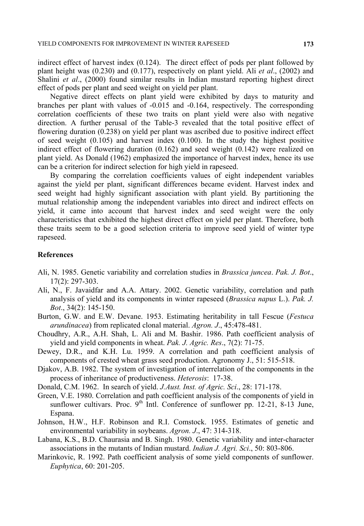indirect effect of harvest index (0.124). The direct effect of pods per plant followed by plant height was (0.230) and (0.177), respectively on plant yield. Ali *et al*., (2002) and Shalini *et al*., (2000) found similar results in Indian mustard reporting highest direct effect of pods per plant and seed weight on yield per plant.

Negative direct effects on plant yield were exhibited by days to maturity and branches per plant with values of -0.015 and -0.164, respectively. The corresponding correlation coefficients of these two traits on plant yield were also with negative direction. A further perusal of the Table-3 revealed that the total positive effect of flowering duration (0.238) on yield per plant was ascribed due to positive indirect effect of seed weight (0.105) and harvest index (0.100). In the study the highest positive indirect effect of flowering duration (0.162) and seed weight (0.142) were realized on plant yield. As Donald (1962) emphasized the importance of harvest index, hence its use can be a criterion for indirect selection for high yield in rapeseed.

By comparing the correlation coefficients values of eight independent variables against the yield per plant, significant differences became evident. Harvest index and seed weight had highly significant association with plant yield. By partitioning the mutual relationship among the independent variables into direct and indirect effects on yield, it came into account that harvest index and seed weight were the only characteristics that exhibited the highest direct effect on yield per plant. Therefore, both these traits seem to be a good selection criteria to improve seed yield of winter type rapeseed.

#### **References**

- Ali, N. 1985. Genetic variability and correlation studies in *Brassica juncea*. *Pak. J. Bot*., 17(2): 297-303.
- Ali, N., F. Javaidfar and A.A. Attary. 2002. Genetic variability, correlation and path analysis of yield and its components in winter rapeseed (*Brassica napus* L.). *Pak. J. Bot*., 34(2): 145-150.
- Burton, G.W. and E.W. Devane. 1953. Estimating heritability in tall Fescue (*Festuca arundinacea*) from replicated clonal material. *Agron. J*., 45:478-481.
- Choudhry, A.R., A.H. Shah, L. Ali and M. Bashir. 1986. Path coefficient analysis of yield and yield components in wheat. *Pak. J. Agric. Res*., 7(2): 71-75.
- Dewey, D.R., and K.H. Lu. 1959. A correlation and path coefficient analysis of components of crested wheat grass seed production. Agronomy J., 51: 515-518.
- Djakov, A.B. 1982. The system of investigation of interrelation of the components in the process of inheritance of productiveness. *Heterosis*: 17-38.
- Donald, C.M. 1962. In search of yield. *J.Aust. Inst. of Agric. Sci*., 28: 171-178.
- Green, V.E. 1980. Correlation and path coefficient analysis of the components of yield in sunflower cultivars. Proc.  $9<sup>th</sup>$  Intl. Conference of sunflower pp. 12-21, 8-13 June, Espana.
- Johnson, H.W., H.F. Robinson and R.I. Comstock. 1955. Estimates of genetic and environmental variability in soybeans. *Agron. J*., 47: 314-318.
- Labana, K.S., B.D. Chaurasia and B. Singh. 1980. Genetic variability and inter-character associations in the mutants of Indian mustard. *Indian J. Agri. Sci*., 50: 803-806.
- Marinkovic, R. 1992. Path coefficient analysis of some yield components of sunflower. *Euphytica*, 60: 201-205.